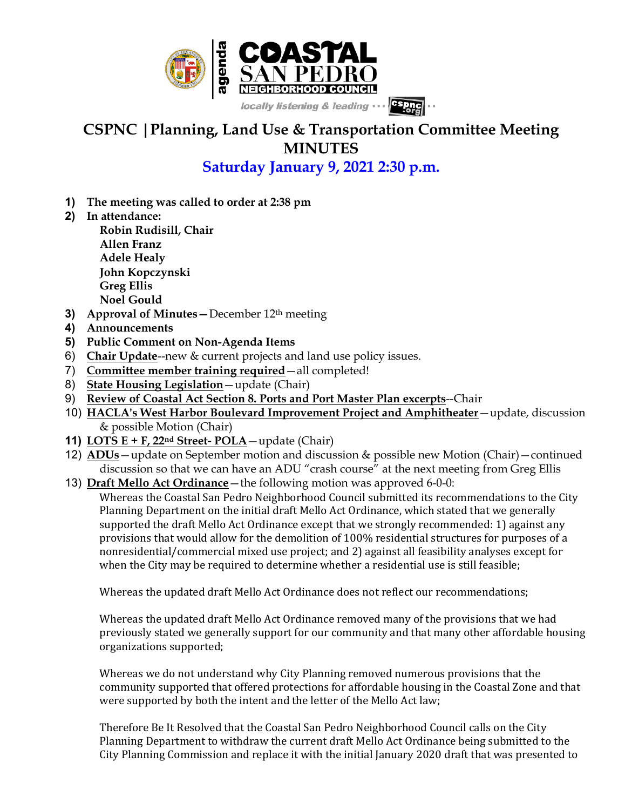

# **CSPNC |Planning, Land Use & Transportation Committee Meeting MINUTES**

### **Saturday January 9, 2021 2:30 p.m.**

- **1) The meeting was called to order at 2:38 pm**
- **2) In attendance:**

**Robin Rudisill, Chair Allen Franz Adele Healy John Kopczynski Greg Ellis Noel Gould**

- **3) Approval of Minutes—**December 12th meeting
- **4) Announcements**
- **5) Public Comment on Non-Agenda Items**
- 6) **Chair Update**--new & current projects and land use policy issues.
- 7) **Committee member training required**—all completed!
- 8) **State Housing Legislation**—update (Chair)
- 9) **Review of Coastal Act Section 8. Ports and Port Master Plan excerpts**--Chair
- 10) **HACLA's West Harbor Boulevard Improvement Project and Amphitheater**—update, discussion & possible Motion (Chair)
- **11) LOTS E + F, 22nd Street- POLA**—update (Chair)
- 12) **ADUs**—update on September motion and discussion & possible new Motion (Chair)—continued discussion so that we can have an ADU "crash course" at the next meeting from Greg Ellis
- 13) **Draft Mello Act Ordinance**—the following motion was approved 6-0-0: Whereas the Coastal San Pedro Neighborhood Council submitted its recommendations to the City Planning Department on the initial draft Mello Act Ordinance, which stated that we generally supported the draft Mello Act Ordinance except that we strongly recommended: 1) against any provisions that would allow for the demolition of 100% residential structures for purposes of a nonresidential/commercial mixed use project; and 2) against all feasibility analyses except for when the City may be required to determine whether a residential use is still feasible;

Whereas the updated draft Mello Act Ordinance does not reflect our recommendations;

Whereas the updated draft Mello Act Ordinance removed many of the provisions that we had previously stated we generally support for our community and that many other affordable housing organizations supported;

Whereas we do not understand why City Planning removed numerous provisions that the community supported that offered protections for affordable housing in the Coastal Zone and that were supported by both the intent and the letter of the Mello Act law;

Therefore Be It Resolved that the Coastal San Pedro Neighborhood Council calls on the City Planning Department to withdraw the current draft Mello Act Ordinance being submitted to the City Planning Commission and replace it with the initial January 2020 draft that was presented to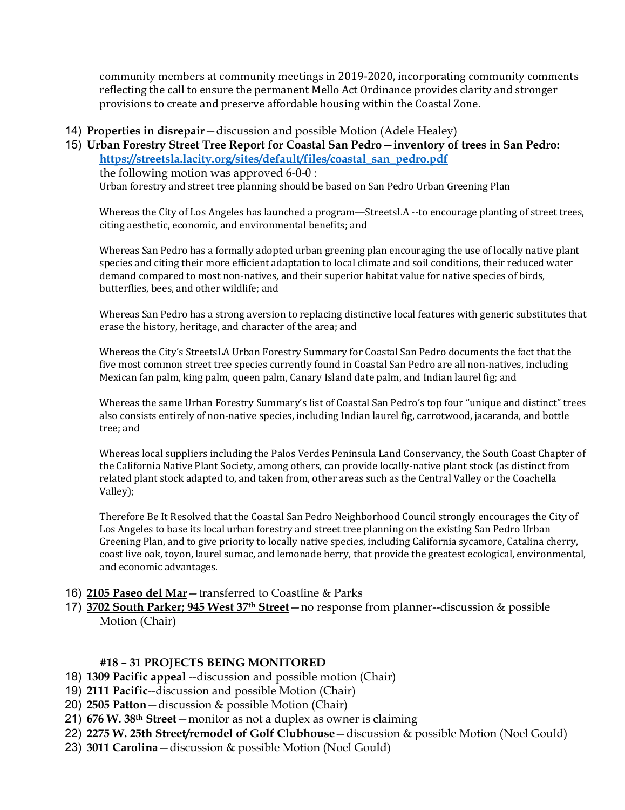community members at community meetings in 2019-2020, incorporating community comments reflecting the call to ensure the permanent Mello Act Ordinance provides clarity and stronger provisions to create and preserve affordable housing within the Coastal Zone.

#### 14) **Properties in disrepair**—discussion and possible Motion (Adele Healey)

## 15) **Urban Forestry Street Tree Report for Coastal San Pedro—inventory of trees in San Pedro:**

**https://streetsla.lacity.org/sites/default/files/coastal\_san\_pedro.pdf** the following motion was approved 6-0-0 : Urban forestry and street tree planning should be based on San Pedro Urban Greening Plan

Whereas the City of Los Angeles has launched a program—StreetsLA --to encourage planting of street trees, citing aesthetic, economic, and environmental benefits; and

Whereas San Pedro has a formally adopted urban greening plan encouraging the use of locally native plant species and citing their more efficient adaptation to local climate and soil conditions, their reduced water demand compared to most non-natives, and their superior habitat value for native species of birds, butterflies, bees, and other wildlife; and

Whereas San Pedro has a strong aversion to replacing distinctive local features with generic substitutes that erase the history, heritage, and character of the area; and

Whereas the City's StreetsLA Urban Forestry Summary for Coastal San Pedro documents the fact that the five most common street tree species currently found in Coastal San Pedro are all non-natives, including Mexican fan palm, king palm, queen palm, Canary Island date palm, and Indian laurel fig; and

Whereas the same Urban Forestry Summary's list of Coastal San Pedro's top four "unique and distinct" trees also consists entirely of non-native species, including Indian laurel fig, carrotwood, jacaranda, and bottle tree; and

Whereas local suppliers including the Palos Verdes Peninsula Land Conservancy, the South Coast Chapter of the California Native Plant Society, among others, can provide locally-native plant stock (as distinct from related plant stock adapted to, and taken from, other areas such as the Central Valley or the Coachella Valley);

Therefore Be It Resolved that the Coastal San Pedro Neighborhood Council strongly encourages the City of Los Angeles to base its local urban forestry and street tree planning on the existing San Pedro Urban Greening Plan, and to give priority to locally native species, including California sycamore, Catalina cherry, coast live oak, toyon, laurel sumac, and lemonade berry, that provide the greatest ecological, environmental, and economic advantages.

### 16) **2105 Paseo del Mar**—transferred to Coastline & Parks

17) **3702 South Parker; 945 West 37th Street**—no response from planner--discussion & possible Motion (Chair)

### **#18 – 31 PROJECTS BEING MONITORED**

- 18) **1309 Pacific appeal** --discussion and possible motion (Chair)
- 19) **2111 Pacific**--discussion and possible Motion (Chair)
- 20) **2505 Patton**—discussion & possible Motion (Chair)
- 21) **676 W. 38th Street**—monitor as not a duplex as owner is claiming
- 22) **2275 W. 25th Street/remodel of Golf Clubhouse**—discussion & possible Motion (Noel Gould)
- 23) **3011 Carolina**—discussion & possible Motion (Noel Gould)